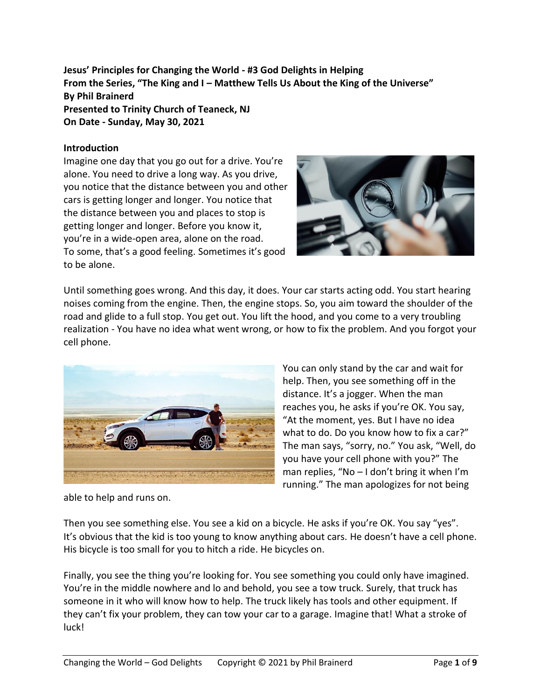**Jesus' Principles for Changing the World - #3 God Delights in Helping From the Series, "The King and I – Matthew Tells Us About the King of the Universe" By Phil Brainerd Presented to Trinity Church of Teaneck, NJ On Date - Sunday, May 30, 2021**

### **Introduction**

Imagine one day that you go out for a drive. You're alone. You need to drive a long way. As you drive, you notice that the distance between you and other cars is getting longer and longer. You notice that the distance between you and places to stop is getting longer and longer. Before you know it, you're in a wide-open area, alone on the road. To some, that's a good feeling. Sometimes it's good to be alone.



Until something goes wrong. And this day, it does. Your car starts acting odd. You start hearing noises coming from the engine. Then, the engine stops. So, you aim toward the shoulder of the road and glide to a full stop. You get out. You lift the hood, and you come to a very troubling realization - You have no idea what went wrong, or how to fix the problem. And you forgot your cell phone.



You can only stand by the car and wait for help. Then, you see something off in the distance. It's a jogger. When the man reaches you, he asks if you're OK. You say, "At the moment, yes. But I have no idea what to do. Do you know how to fix a car?" The man says, "sorry, no." You ask, "Well, do you have your cell phone with you?" The man replies, "No – I don't bring it when I'm running." The man apologizes for not being

able to help and runs on.

Then you see something else. You see a kid on a bicycle. He asks if you're OK. You say "yes". It's obvious that the kid is too young to know anything about cars. He doesn't have a cell phone. His bicycle is too small for you to hitch a ride. He bicycles on.

Finally, you see the thing you're looking for. You see something you could only have imagined. You're in the middle nowhere and lo and behold, you see a tow truck. Surely, that truck has someone in it who will know how to help. The truck likely has tools and other equipment. If they can't fix your problem, they can tow your car to a garage. Imagine that! What a stroke of luck!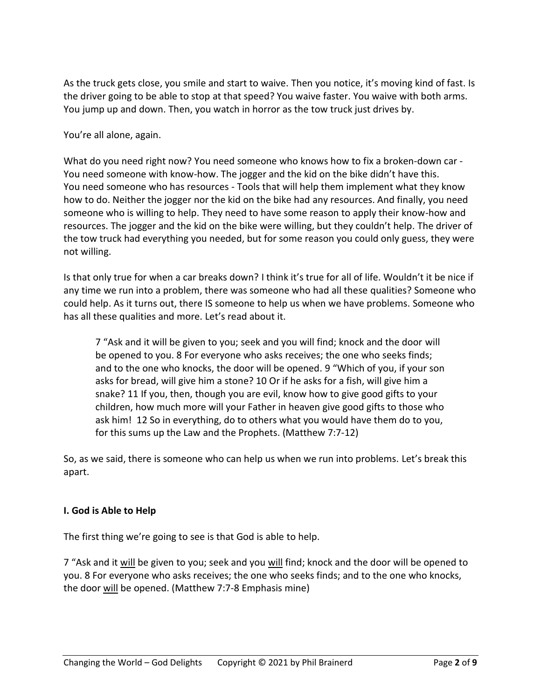As the truck gets close, you smile and start to waive. Then you notice, it's moving kind of fast. Is the driver going to be able to stop at that speed? You waive faster. You waive with both arms. You jump up and down. Then, you watch in horror as the tow truck just drives by.

You're all alone, again.

What do you need right now? You need someone who knows how to fix a broken-down car - You need someone with know-how. The jogger and the kid on the bike didn't have this. You need someone who has resources - Tools that will help them implement what they know how to do. Neither the jogger nor the kid on the bike had any resources. And finally, you need someone who is willing to help. They need to have some reason to apply their know-how and resources. The jogger and the kid on the bike were willing, but they couldn't help. The driver of the tow truck had everything you needed, but for some reason you could only guess, they were not willing.

Is that only true for when a car breaks down? I think it's true for all of life. Wouldn't it be nice if any time we run into a problem, there was someone who had all these qualities? Someone who could help. As it turns out, there IS someone to help us when we have problems. Someone who has all these qualities and more. Let's read about it.

7 "Ask and it will be given to you; seek and you will find; knock and the door will be opened to you. 8 For everyone who asks receives; the one who seeks finds; and to the one who knocks, the door will be opened. 9 "Which of you, if your son asks for bread, will give him a stone? 10 Or if he asks for a fish, will give him a snake? 11 If you, then, though you are evil, know how to give good gifts to your children, how much more will your Father in heaven give good gifts to those who ask him! 12 So in everything, do to others what you would have them do to you, for this sums up the Law and the Prophets. (Matthew 7:7-12)

So, as we said, there is someone who can help us when we run into problems. Let's break this apart.

# **I. God is Able to Help**

The first thing we're going to see is that God is able to help.

7 "Ask and it will be given to you; seek and you will find; knock and the door will be opened to you. 8 For everyone who asks receives; the one who seeks finds; and to the one who knocks, the door will be opened. (Matthew 7:7-8 Emphasis mine)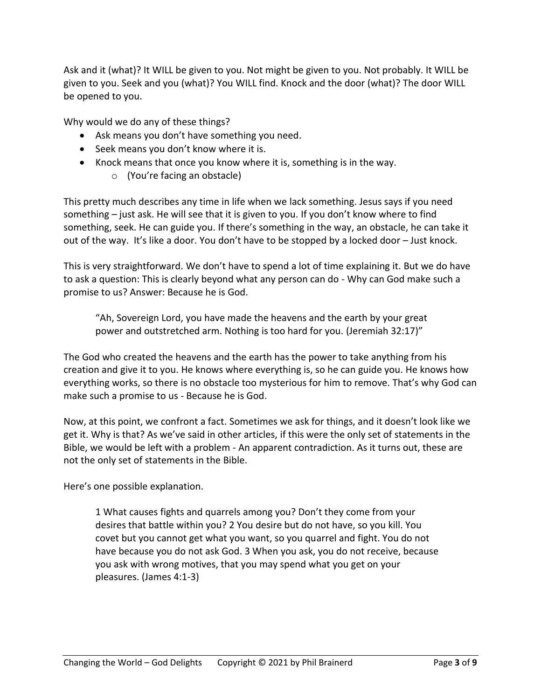Ask and it (what)? It WILL be given to you. Not might be given to you. Not probably. It WILL be given to you. Seek and you (what)? You WILL find. Knock and the door (what)? The door WILL be opened to you.

Why would we do any of these things?

- Ask means you don't have something you need.
- Seek means you don't know where it is.
- Knock means that once you know where it is, something is in the way.
	- o (You're facing an obstacle)

This pretty much describes any time in life when we lack something. Jesus says if you need something – just ask. He will see that it is given to you. If you don't know where to find something, seek. He can guide you. If there's something in the way, an obstacle, he can take it out of the way. It's like a door. You don't have to be stopped by a locked door – Just knock.

This is very straightforward. We don't have to spend a lot of time explaining it. But we do have to ask a question: This is clearly beyond what any person can do - Why can God make such a promise to us? Answer: Because he is God.

"Ah, Sovereign Lord, you have made the heavens and the earth by your great power and outstretched arm. Nothing is too hard for you. (Jeremiah 32:17)"

The God who created the heavens and the earth has the power to take anything from his creation and give it to you. He knows where everything is, so he can guide you. He knows how everything works, so there is no obstacle too mysterious for him to remove. That's why God can make such a promise to us - Because he is God.

Now, at this point, we confront a fact. Sometimes we ask for things, and it doesn't look like we get it. Why is that? As we've said in other articles, if this were the only set of statements in the Bible, we would be left with a problem - An apparent contradiction. As it turns out, these are not the only set of statements in the Bible.

Here's one possible explanation.

1 What causes fights and quarrels among you? Don't they come from your desires that battle within you? 2 You desire but do not have, so you kill. You covet but you cannot get what you want, so you quarrel and fight. You do not have because you do not ask God. 3 When you ask, you do not receive, because you ask with wrong motives, that you may spend what you get on your pleasures. (James 4:1-3)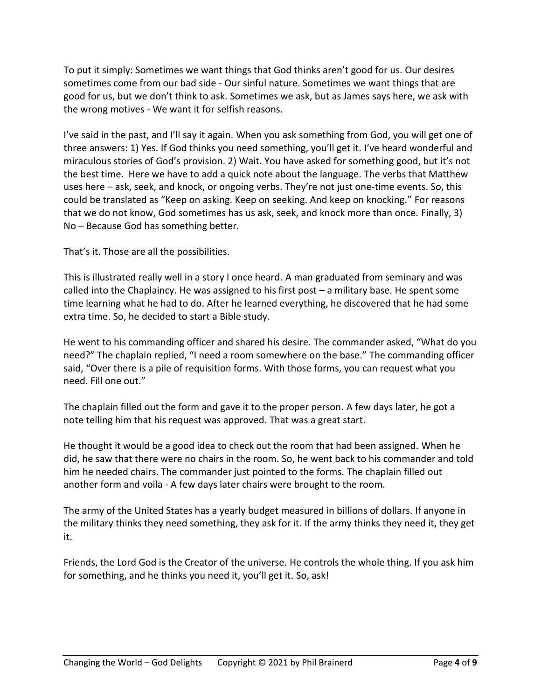To put it simply: Sometimes we want things that God thinks aren't good for us. Our desires sometimes come from our bad side - Our sinful nature. Sometimes we want things that are good for us, but we don't think to ask. Sometimes we ask, but as James says here, we ask with the wrong motives - We want it for selfish reasons.

I've said in the past, and I'll say it again. When you ask something from God, you will get one of three answers: 1) Yes. If God thinks you need something, you'll get it. I've heard wonderful and miraculous stories of God's provision. 2) Wait. You have asked for something good, but it's not the best time. Here we have to add a quick note about the language. The verbs that Matthew uses here – ask, seek, and knock, or ongoing verbs. They're not just one-time events. So, this could be translated as "Keep on asking. Keep on seeking. And keep on knocking." For reasons that we do not know, God sometimes has us ask, seek, and knock more than once. Finally, 3) No – Because God has something better.

That's it. Those are all the possibilities.

This is illustrated really well in a story I once heard. A man graduated from seminary and was called into the Chaplaincy. He was assigned to his first post – a military base. He spent some time learning what he had to do. After he learned everything, he discovered that he had some extra time. So, he decided to start a Bible study.

He went to his commanding officer and shared his desire. The commander asked, "What do you need?" The chaplain replied, "I need a room somewhere on the base." The commanding officer said, "Over there is a pile of requisition forms. With those forms, you can request what you need. Fill one out."

The chaplain filled out the form and gave it to the proper person. A few days later, he got a note telling him that his request was approved. That was a great start.

He thought it would be a good idea to check out the room that had been assigned. When he did, he saw that there were no chairs in the room. So, he went back to his commander and told him he needed chairs. The commander just pointed to the forms. The chaplain filled out another form and voila - A few days later chairs were brought to the room.

The army of the United States has a yearly budget measured in billions of dollars. If anyone in the military thinks they need something, they ask for it. If the army thinks they need it, they get it.

Friends, the Lord God is the Creator of the universe. He controls the whole thing. If you ask him for something, and he thinks you need it, you'll get it. So, ask!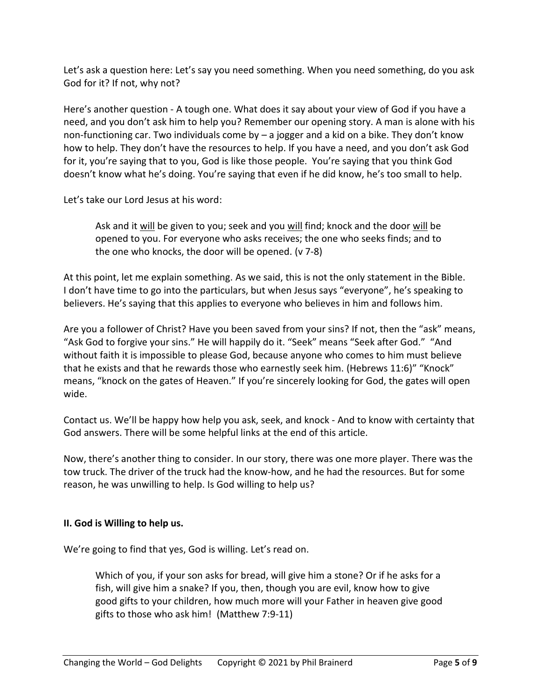Let's ask a question here: Let's say you need something. When you need something, do you ask God for it? If not, why not?

Here's another question - A tough one. What does it say about your view of God if you have a need, and you don't ask him to help you? Remember our opening story. A man is alone with his non-functioning car. Two individuals come by – a jogger and a kid on a bike. They don't know how to help. They don't have the resources to help. If you have a need, and you don't ask God for it, you're saying that to you, God is like those people. You're saying that you think God doesn't know what he's doing. You're saying that even if he did know, he's too small to help.

Let's take our Lord Jesus at his word:

Ask and it will be given to you; seek and you will find; knock and the door will be opened to you. For everyone who asks receives; the one who seeks finds; and to the one who knocks, the door will be opened. (v 7-8)

At this point, let me explain something. As we said, this is not the only statement in the Bible. I don't have time to go into the particulars, but when Jesus says "everyone", he's speaking to believers. He's saying that this applies to everyone who believes in him and follows him.

Are you a follower of Christ? Have you been saved from your sins? If not, then the "ask" means, "Ask God to forgive your sins." He will happily do it. "Seek" means "Seek after God." "And without faith it is impossible to please God, because anyone who comes to him must believe that he exists and that he rewards those who earnestly seek him. (Hebrews 11:6)" "Knock" means, "knock on the gates of Heaven." If you're sincerely looking for God, the gates will open wide.

Contact us. We'll be happy how help you ask, seek, and knock - And to know with certainty that God answers. There will be some helpful links at the end of this article.

Now, there's another thing to consider. In our story, there was one more player. There was the tow truck. The driver of the truck had the know-how, and he had the resources. But for some reason, he was unwilling to help. Is God willing to help us?

# **II. God is Willing to help us.**

We're going to find that yes, God is willing. Let's read on.

Which of you, if your son asks for bread, will give him a stone? Or if he asks for a fish, will give him a snake? If you, then, though you are evil, know how to give good gifts to your children, how much more will your Father in heaven give good gifts to those who ask him! (Matthew 7:9-11)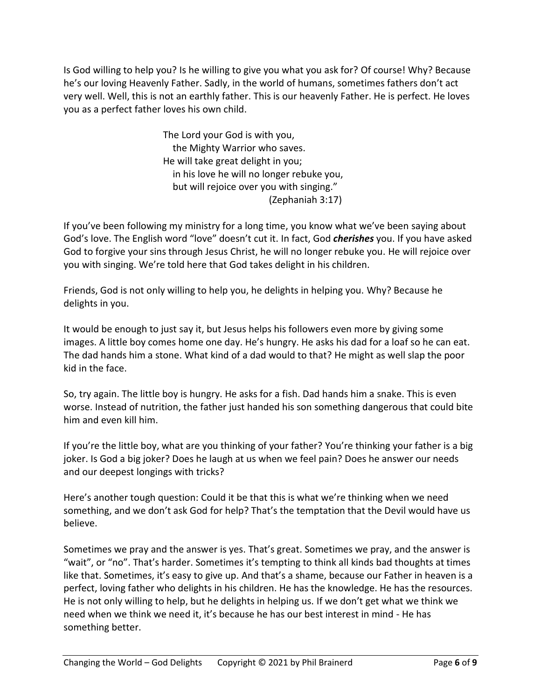Is God willing to help you? Is he willing to give you what you ask for? Of course! Why? Because he's our loving Heavenly Father. Sadly, in the world of humans, sometimes fathers don't act very well. Well, this is not an earthly father. This is our heavenly Father. He is perfect. He loves you as a perfect father loves his own child.

> The Lord your God is with you, the Mighty Warrior who saves. He will take great delight in you; in his love he will no longer rebuke you, but will rejoice over you with singing." (Zephaniah 3:17)

If you've been following my ministry for a long time, you know what we've been saying about God's love. The English word "love" doesn't cut it. In fact, God *cherishes* you. If you have asked God to forgive your sins through Jesus Christ, he will no longer rebuke you. He will rejoice over you with singing. We're told here that God takes delight in his children.

Friends, God is not only willing to help you, he delights in helping you. Why? Because he delights in you.

It would be enough to just say it, but Jesus helps his followers even more by giving some images. A little boy comes home one day. He's hungry. He asks his dad for a loaf so he can eat. The dad hands him a stone. What kind of a dad would to that? He might as well slap the poor kid in the face.

So, try again. The little boy is hungry. He asks for a fish. Dad hands him a snake. This is even worse. Instead of nutrition, the father just handed his son something dangerous that could bite him and even kill him.

If you're the little boy, what are you thinking of your father? You're thinking your father is a big joker. Is God a big joker? Does he laugh at us when we feel pain? Does he answer our needs and our deepest longings with tricks?

Here's another tough question: Could it be that this is what we're thinking when we need something, and we don't ask God for help? That's the temptation that the Devil would have us believe.

Sometimes we pray and the answer is yes. That's great. Sometimes we pray, and the answer is "wait", or "no". That's harder. Sometimes it's tempting to think all kinds bad thoughts at times like that. Sometimes, it's easy to give up. And that's a shame, because our Father in heaven is a perfect, loving father who delights in his children. He has the knowledge. He has the resources. He is not only willing to help, but he delights in helping us. If we don't get what we think we need when we think we need it, it's because he has our best interest in mind - He has something better.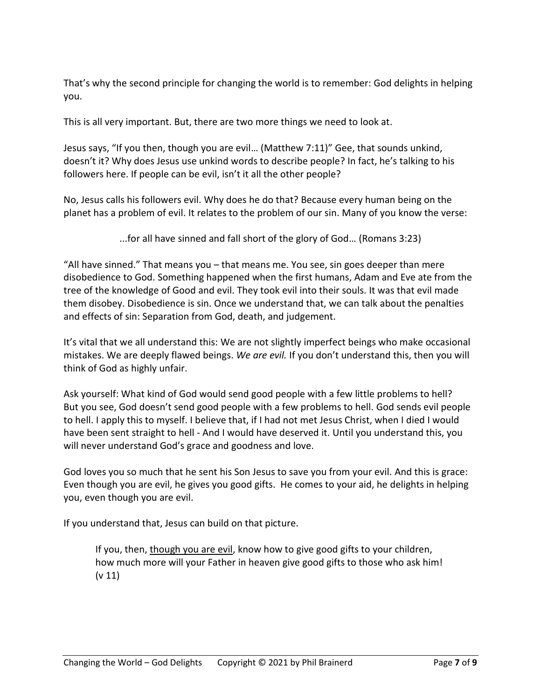That's why the second principle for changing the world is to remember: God delights in helping you.

This is all very important. But, there are two more things we need to look at.

Jesus says, "If you then, though you are evil… (Matthew 7:11)" Gee, that sounds unkind, doesn't it? Why does Jesus use unkind words to describe people? In fact, he's talking to his followers here. If people can be evil, isn't it all the other people?

No, Jesus calls his followers evil. Why does he do that? Because every human being on the planet has a problem of evil. It relates to the problem of our sin. Many of you know the verse:

...for all have sinned and fall short of the glory of God… (Romans 3:23)

"All have sinned." That means you – that means me. You see, sin goes deeper than mere disobedience to God. Something happened when the first humans, Adam and Eve ate from the tree of the knowledge of Good and evil. They took evil into their souls. It was that evil made them disobey. Disobedience is sin. Once we understand that, we can talk about the penalties and effects of sin: Separation from God, death, and judgement.

It's vital that we all understand this: We are not slightly imperfect beings who make occasional mistakes. We are deeply flawed beings. *We are evil.* If you don't understand this, then you will think of God as highly unfair.

Ask yourself: What kind of God would send good people with a few little problems to hell? But you see, God doesn't send good people with a few problems to hell. God sends evil people to hell. I apply this to myself. I believe that, if I had not met Jesus Christ, when I died I would have been sent straight to hell - And I would have deserved it. Until you understand this, you will never understand God's grace and goodness and love.

God loves you so much that he sent his Son Jesus to save you from your evil. And this is grace: Even though you are evil, he gives you good gifts. He comes to your aid, he delights in helping you, even though you are evil.

If you understand that, Jesus can build on that picture.

If you, then, though you are evil, know how to give good gifts to your children, how much more will your Father in heaven give good gifts to those who ask him! (v 11)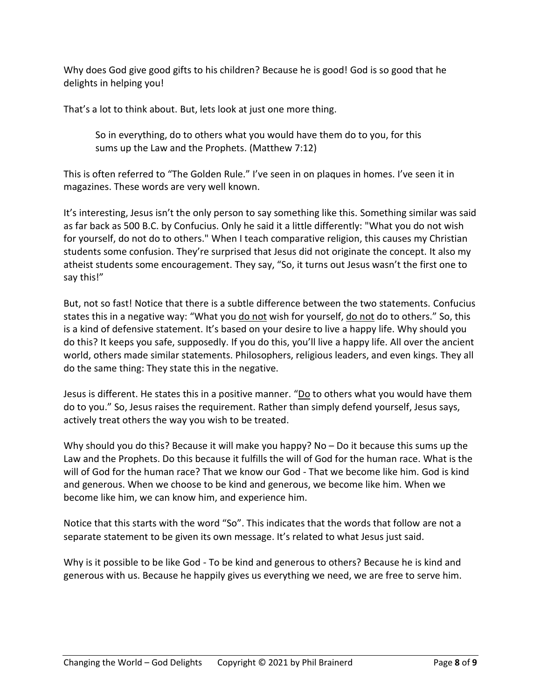Why does God give good gifts to his children? Because he is good! God is so good that he delights in helping you!

That's a lot to think about. But, lets look at just one more thing.

So in everything, do to others what you would have them do to you, for this sums up the Law and the Prophets. (Matthew 7:12)

This is often referred to "The Golden Rule." I've seen in on plaques in homes. I've seen it in magazines. These words are very well known.

It's interesting, Jesus isn't the only person to say something like this. Something similar was said as far back as 500 B.C. by Confucius. Only he said it a little differently: "What you do not wish for yourself, do not do to others." When I teach comparative religion, this causes my Christian students some confusion. They're surprised that Jesus did not originate the concept. It also my atheist students some encouragement. They say, "So, it turns out Jesus wasn't the first one to say this!"

But, not so fast! Notice that there is a subtle difference between the two statements. Confucius states this in a negative way: "What you do not wish for yourself, do not do to others." So, this is a kind of defensive statement. It's based on your desire to live a happy life. Why should you do this? It keeps you safe, supposedly. If you do this, you'll live a happy life. All over the ancient world, others made similar statements. Philosophers, religious leaders, and even kings. They all do the same thing: They state this in the negative.

Jesus is different. He states this in a positive manner. "Do to others what you would have them do to you." So, Jesus raises the requirement. Rather than simply defend yourself, Jesus says, actively treat others the way you wish to be treated.

Why should you do this? Because it will make you happy? No – Do it because this sums up the Law and the Prophets. Do this because it fulfills the will of God for the human race. What is the will of God for the human race? That we know our God - That we become like him. God is kind and generous. When we choose to be kind and generous, we become like him. When we become like him, we can know him, and experience him.

Notice that this starts with the word "So". This indicates that the words that follow are not a separate statement to be given its own message. It's related to what Jesus just said.

Why is it possible to be like God - To be kind and generous to others? Because he is kind and generous with us. Because he happily gives us everything we need, we are free to serve him.